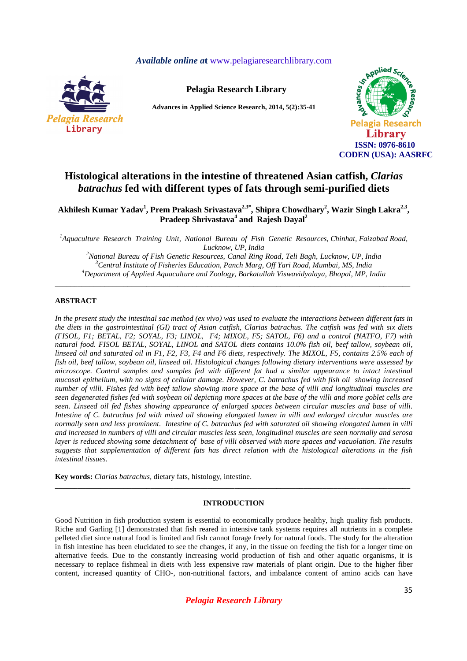*Available online a***t** www.pelagiaresearchlibrary.com



**Pelagia Research Library**

**Advances in Applied Science Research, 2014, 5(2):35-41** 



# **Histological alterations in the intestine of threatened Asian catfish,** *Clarias batrachus* **fed with different types of fats through semi-purified diets**

**Akhilesh Kumar Yadav<sup>1</sup> , Prem Prakash Srivastava2,3\*, Shipra Chowdhary<sup>2</sup> , Wazir Singh Lakra2,3 , Pradeep Shrivastava<sup>4</sup> and Rajesh Dayal<sup>2</sup>**

*<sup>1</sup>Aquaculture Research Training Unit, National Bureau of Fish Genetic Resources, Chinhat, Faizabad Road, Lucknow, UP, India* 

*<sup>2</sup>National Bureau of Fish Genetic Resources, Canal Ring Road, Teli Bagh, Lucknow, UP, India <sup>3</sup>Central Institute of Fisheries Education, Panch Marg, Off Yari Road, Mumbai, MS, India <sup>4</sup>Department of Applied Aquaculture and Zoology, Barkatullah Viswavidyalaya, Bhopal, MP, India* 

\_\_\_\_\_\_\_\_\_\_\_\_\_\_\_\_\_\_\_\_\_\_\_\_\_\_\_\_\_\_\_\_\_\_\_\_\_\_\_\_\_\_\_\_\_\_\_\_\_\_\_\_\_\_\_\_\_\_\_\_\_\_\_\_\_\_\_\_\_\_\_\_\_\_\_\_\_\_\_\_\_\_\_\_\_\_\_\_\_\_\_\_\_

### **ABSTRACT**

*In the present study the intestinal sac method (ex vivo) was used to evaluate the interactions between different fats in the diets in the gastrointestinal (GI) tract of Asian catfish, Clarias batrachus. The catfish was fed with six diets (FISOL, F1; BETAL, F2; SOYAL, F3; LINOL, F4; MIXOL, F5; SATOL, F6) and a control (NATFO, F7) with natural food. FISOL BETAL, SOYAL, LINOL and SATOL diets contains 10.0% fish oil, beef tallow, soybean oil, linseed oil and saturated oil in F1, F2, F3, F4 and F6 diets, respectively. The MIXOL, F5, contains 2.5% each of fish oil, beef tallow, soybean oil, linseed oil. Histological changes following dietary interventions were assessed by microscope. Control samples and samples fed with different fat had a similar appearance to intact intestinal mucosal epithelium, with no signs of cellular damage. However, C. batrachus fed with fish oil showing increased number of villi. Fishes fed with beef tallow showing more space at the base of villi and longitudinal muscles are seen degenerated fishes fed with soybean oil depicting more spaces at the base of the villi and more goblet cells are seen. Linseed oil fed fishes showing appearance of enlarged spaces between circular muscles and base of villi. Intestine of C. batrachus fed with mixed oil showing elongated lumen in villi and enlarged circular muscles are normally seen and less prominent. Intestine of C. batrachus fed with saturated oil showing elongated lumen in villi and increased in numbers of villi and circular muscles less seen, longitudinal muscles are seen normally and serosa layer is reduced showing some detachment of base of villi observed with more spaces and vacuolation. The results suggests that supplementation of different fats has direct relation with the histological alterations in the fish intestinal tissues.* 

**Key words:** *Clarias batrachus,* dietary fats, histology, intestine.

### **INTRODUCTION**

**\_\_\_\_\_\_\_\_\_\_\_\_\_\_\_\_\_\_\_\_\_\_\_\_\_\_\_\_\_\_\_\_\_\_\_\_\_\_\_\_\_\_\_\_\_\_\_\_\_\_\_\_\_\_\_\_\_\_\_\_\_\_\_\_\_\_\_\_\_\_\_\_\_\_\_\_\_\_\_\_\_\_\_\_\_\_\_\_\_\_\_\_\_** 

Good Nutrition in fish production system is essential to economically produce healthy, high quality fish products. Riche and Garling [1] demonstrated that fish reared in intensive tank systems requires all nutrients in a complete pelleted diet since natural food is limited and fish cannot forage freely for natural foods. The study for the alteration in fish intestine has been elucidated to see the changes, if any, in the tissue on feeding the fish for a longer time on alternative feeds. Due to the constantly increasing world production of fish and other aquatic organisms, it is necessary to replace fishmeal in diets with less expensive raw materials of plant origin. Due to the higher fiber content, increased quantity of CHO-, non-nutritional factors, and imbalance content of amino acids can have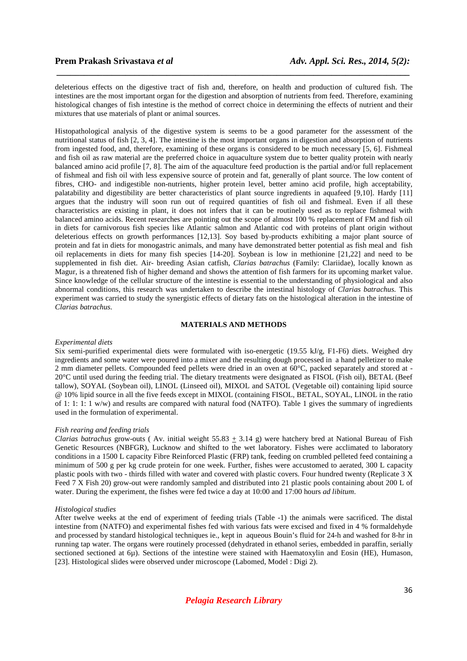deleterious effects on the digestive tract of fish and, therefore, on health and production of cultured fish. The intestines are the most important organ for the digestion and absorption of nutrients from feed. Therefore, examining histological changes of fish intestine is the method of correct choice in determining the effects of nutrient and their mixtures that use materials of plant or animal sources.

 *\_\_\_\_\_\_\_\_\_\_\_\_\_\_\_\_\_\_\_\_\_\_\_\_\_\_\_\_\_\_\_\_\_\_\_\_\_\_\_\_\_\_\_\_\_\_\_\_\_\_\_\_\_\_\_\_\_\_\_\_\_\_\_\_\_\_\_\_\_\_\_\_\_\_\_\_\_*

Histopathological analysis of the digestive system is seems to be a good parameter for the assessment of the nutritional status of fish [2, 3, 4]. The intestine is the most important organs in digestion and absorption of nutrients from ingested food, and, therefore, examining of these organs is considered to be much necessary [5, 6]. Fishmeal and fish oil as raw material are the preferred choice in aquaculture system due to better quality protein with nearly balanced amino acid profile [7, 8]. The aim of the aquaculture feed production is the partial and/or full replacement of fishmeal and fish oil with less expensive source of protein and fat, generally of plant source. The low content of fibres, CHO- and indigestible non-nutrients, higher protein level, better amino acid profile, high acceptability, palatability and digestibility are better characteristics of plant source ingredients in aquafeed [9,10]. Hardy [11] argues that the industry will soon run out of required quantities of fish oil and fishmeal. Even if all these characteristics are existing in plant, it does not infers that it can be routinely used as to replace fishmeal with balanced amino acids. Recent researches are pointing out the scope of almost 100 % replacement of FM and fish oil in diets for carnivorous fish species like Atlantic salmon and Atlantic cod with proteins of plant origin without deleterious effects on growth performances [12,13]. Soy based by-products exhibiting a major plant source of protein and fat in diets for monogastric animals, and many have demonstrated better potential as fish meal and fish oil replacements in diets for many fish species [14-20]. Soybean is low in methionine [21,22] and need to be supplemented in fish diet. Air- breeding Asian catfish, *Clarias batrachus* (Family: Clariidae), locally known as Magur, is a threatened fish of higher demand and shows the attention of fish farmers for its upcoming market value. Since knowledge of the cellular structure of the intestine is essential to the understanding of physiological and also abnormal conditions, this research was undertaken to describe the intestinal histology of *Clarias batrachus.* This experiment was carried to study the synergistic effects of dietary fats on the histological alteration in the intestine of *Clarias batrachus.*

### **MATERIALS AND METHODS**

#### *Experimental diets*

Six semi-purified experimental diets were formulated with iso-energetic (19.55 kJ/g, F1-F6) diets. Weighed dry ingredients and some water were poured into a mixer and the resulting dough processed in a hand pelletizer to make 2 mm diameter pellets. Compounded feed pellets were dried in an oven at 60°C, packed separately and stored at -20°C until used during the feeding trial. The dietary treatments were designated as FISOL (Fish oil), BETAL (Beef tallow), SOYAL (Soybean oil), LINOL (Linseed oil), MIXOL and SATOL (Vegetable oil) containing lipid source @ 10% lipid source in all the five feeds except in MIXOL (containing FISOL, BETAL, SOYAL, LINOL in the ratio of 1: 1: 1:  $\frac{1}{1}$  w/w) and results are compared with natural food (NATFO). Table 1 gives the summary of ingredients used in the formulation of experimental.

#### *Fish rearing and feeding trials*

*Clarias batrachus* grow-outs (Av. initial weight  $55.83 \pm 3.14$  g) were hatchery bred at National Bureau of Fish Genetic Resources (NBFGR), Lucknow and shifted to the wet laboratory. Fishes were acclimated to laboratory conditions in a 1500 L capacity Fibre Reinforced Plastic (FRP) tank, feeding on crumbled pelleted feed containing a minimum of 500 g per kg crude protein for one week. Further, fishes were accustomed to aerated, 300 L capacity plastic pools with two - thirds filled with water and covered with plastic covers. Four hundred twenty (Replicate 3 X Feed 7 X Fish 20) grow-out were randomly sampled and distributed into 21 plastic pools containing about 200 L of water. During the experiment, the fishes were fed twice a day at 10:00 and 17:00 hours *ad libitum*.

#### *Histological studies*

After twelve weeks at the end of experiment of feeding trials (Table -1) the animals were sacrificed. The distal intestine from (NATFO) and experimental fishes fed with various fats were excised and fixed in 4 % formaldehyde and processed by standard histological techniques ie., kept in aqueous Bouin's fluid for 24-h and washed for 8-hr in running tap water. The organs were routinely processed (dehydrated in ethanol series, embedded in paraffin, serially sectioned sectioned at 6µ). Sections of the intestine were stained with Haematoxylin and Eosin (HE), Humason, [23]. Histological slides were observed under microscope (Labomed, Model : Digi 2).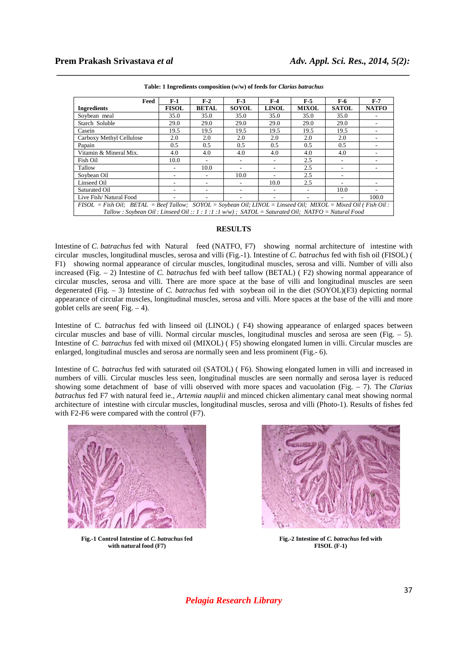| Feed                                                                                                                         | $F-1$        | $F-2$                    | $F-3$        | $F-4$                    | $F-5$                    | F-6                      | $F-7$        |
|------------------------------------------------------------------------------------------------------------------------------|--------------|--------------------------|--------------|--------------------------|--------------------------|--------------------------|--------------|
| <b>Ingredients</b>                                                                                                           | <b>FISOL</b> | <b>BETAL</b>             | <b>SOYOL</b> | <b>LINOL</b>             | <b>MIXOL</b>             | <b>SATOL</b>             | <b>NATFO</b> |
| Sovbean meal                                                                                                                 | 35.0         | 35.0                     | 35.0         | 35.0                     | 35.0                     | 35.0                     |              |
| Starch Soluble                                                                                                               | 29.0         | 29.0                     | 29.0         | 29.0                     | 29.0                     | 29.0                     |              |
| Casein                                                                                                                       | 19.5         | 19.5                     | 19.5         | 19.5                     | 19.5                     | 19.5                     |              |
| Carboxy Methyl Cellulose                                                                                                     | 2.0          | 2.0                      | 2.0          | 2.0                      | 2.0                      | 2.0                      |              |
| Papain                                                                                                                       | 0.5          | 0.5                      | 0.5          | 0.5                      | 0.5                      | 0.5                      |              |
| Vitamin & Mineral Mix.                                                                                                       | 4.0          | 4.0                      | 4.0          | 4.0                      | 4.0                      | 4.0                      |              |
| Fish Oil                                                                                                                     | 10.0         | $\overline{\phantom{a}}$ |              | $\overline{\phantom{a}}$ | 2.5                      | $\overline{\phantom{a}}$ |              |
| Tallow                                                                                                                       |              | 10.0                     |              |                          | 2.5                      |                          |              |
| Soybean Oil                                                                                                                  |              |                          | 10.0         |                          | 2.5                      |                          |              |
| Linseed Oil                                                                                                                  |              |                          |              | 10.0                     | 2.5                      | $\overline{\phantom{a}}$ |              |
| Saturated Oil                                                                                                                |              |                          |              |                          | $\overline{\phantom{a}}$ | 10.0                     |              |
| Live Fish/Natural Food                                                                                                       |              |                          |              |                          |                          |                          | 100.0        |
| $FISOL = Fish Oil$ ; $BETAL = Beef Tallow$ ; $SOYOL = Soybean Oil$ ; $LINOL = Linseed Oil$ ; $MIXOL = Mixed Oil$ (Fish Oil : |              |                          |              |                          |                          |                          |              |
| Tallow: Soybean Oil: Linseed Oil:: 1:1:1:1w/w); SATOL = Saturated Oil; NATFO = Natural Food                                  |              |                          |              |                          |                          |                          |              |

**Table: 1 Ingredients composition (w/w) of feeds for** *Clarias batrachus*

 *\_\_\_\_\_\_\_\_\_\_\_\_\_\_\_\_\_\_\_\_\_\_\_\_\_\_\_\_\_\_\_\_\_\_\_\_\_\_\_\_\_\_\_\_\_\_\_\_\_\_\_\_\_\_\_\_\_\_\_\_\_\_\_\_\_\_\_\_\_\_\_\_\_\_\_\_\_*

### **RESULTS**

Intestine of *C. batrachus* fed with Natural feed (NATFO, F7) showing normal architecture of intestine with circular muscles, longitudinal muscles, serosa and villi (Fig.-1). Intestine of *C. batrachus* fed with fish oil (FISOL) ( F1) showing normal appearance of circular muscles, longitudinal muscles, serosa and villi. Number of villi also increased (Fig. – 2) Intestine of *C. batrachus* fed with beef tallow (BETAL) ( F2) showing normal appearance of circular muscles, serosa and villi. There are more space at the base of villi and longitudinal muscles are seen degenerated (Fig. – 3) Intestine of *C. batrachus* fed with soybean oil in the diet (SOYOL)(F3) depicting normal appearance of circular muscles, longitudinal muscles, serosa and villi. More spaces at the base of the villi and more goblet cells are seen( $Fig. - 4$ ).

Intestine of C. *batrachus* fed with linseed oil (LINOL) ( F4) showing appearance of enlarged spaces between circular muscles and base of villi. Normal circular muscles, longitudinal muscles and serosa are seen (Fig.  $-$  5). Intestine of *C. batrachus* fed with mixed oil (MIXOL) ( F5) showing elongated lumen in villi. Circular muscles are enlarged, longitudinal muscles and serosa are normally seen and less prominent (Fig.- 6).

Intestine of C. *batrachus* fed with saturated oil (SATOL) ( F6). Showing elongated lumen in villi and increased in numbers of villi. Circular muscles less seen, longitudinal muscles are seen normally and serosa layer is reduced showing some detachment of base of villi observed with more spaces and vacuolation (Fig. – 7). The *Clarias batrachus* fed F7 with natural feed ie., *Artemia nauplii* and minced chicken alimentary canal meat showing normal architecture of intestine with circular muscles, longitudinal muscles, serosa and villi (Photo-1). Results of fishes fed with F2-F6 were compared with the control (F7).



**Fig.-1 Control Intestine of** *C. batrachus* **fed with natural food (F7)**



**Fig.-2 Intestine of** *C. batrachus* **fed with FISOL (F-1)**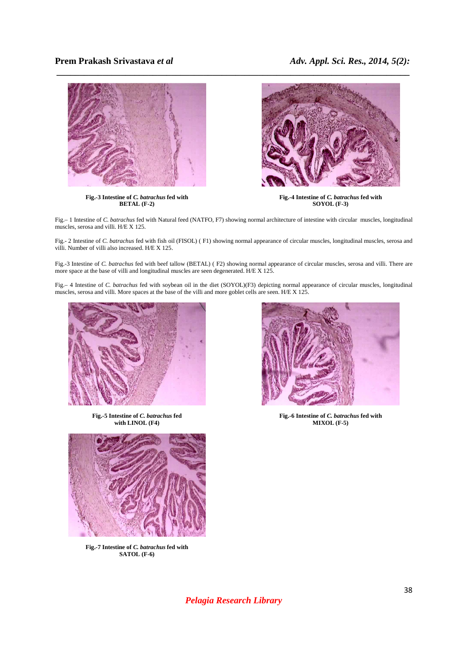

**Fig.-3 Intestine of** *C. batrachus* **fed with BETAL (F-2)**



**Fig.-4 Intestine of** *C. batrachus* **fed with SOYOL (F-3)**

Fig.– 1 Intestine of *C. batrachus* fed with Natural feed (NATFO, F7) showing normal architecture of intestine with circular muscles, longitudinal muscles, serosa and villi. H/E X 125.

Fig.- 2 Intestine of *C. batrachus* fed with fish oil (FISOL) ( F1) showing normal appearance of circular muscles, longitudinal muscles, serosa and villi. Number of villi also increased. H/E X 125.

Fig.-3 Intestine of *C. batrachus* fed with beef tallow (BETAL) ( F2) showing normal appearance of circular muscles, serosa and villi. There are more space at the base of villi and longitudinal muscles are seen degenerated. H/E X 125.

Fig.– 4 Intestine of *C. batrachus* fed with soybean oil in the diet (SOYOL)(F3) depicting normal appearance of circular muscles, longitudinal muscles, serosa and villi. More spaces at the base of the villi and more goblet cells are seen. H/E X 125.



**Fig.-5 Intestine of** *C. batrachus* **fed with LINOL (F4)** 



**Fig.-6 Intestine of** *C. batrachus* **fed with MIXOL (F-5)**



**Fig.-7 Intestine of** *C. batrachus* **fed with SATOL (F-6)**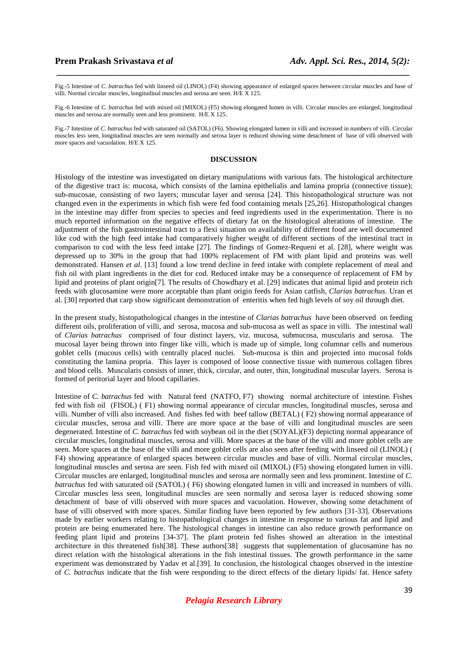Fig.-5 Intestine of *C. batrachus* fed with linseed oil (LINOL) (F4) showing appearance of enlarged spaces between circular muscles and base of villi. Normal circular muscles, longitudinal muscles and serosa are seen.  $H/E \times 125$ .

 *\_\_\_\_\_\_\_\_\_\_\_\_\_\_\_\_\_\_\_\_\_\_\_\_\_\_\_\_\_\_\_\_\_\_\_\_\_\_\_\_\_\_\_\_\_\_\_\_\_\_\_\_\_\_\_\_\_\_\_\_\_\_\_\_\_\_\_\_\_\_\_\_\_\_\_\_\_*

Fig.-6 Intestine of *C. batrachus* fed with mixed oil (MIXOL) (F5) showing elongated lumen in villi. Circular muscles are enlarged, longitudinal muscles and serosa are normally seen and less prominent. H/E X 125.

Fig.-7 Intestine of *C. batrachus* fed with saturated oil (SATOL) (F6). Showing elongated lumen in villi and increased in numbers of villi. Circular muscles less seen, longitudinal muscles are seen normally and serosa layer is reduced showing some detachment of base of villi observed with more spaces and vacuolation. H/E X 125.

### **DISCUSSION**

Histology of the intestine was investigated on dietary manipulations with various fats. The histological architecture of the digestive tract is: mucosa, which consists of the lamina epithelialis and lamina propria (connective tissue); sub-mucosae, consisting of two layers; muscular layer and serosa [24]. This histopathological structure was not changed even in the experiments in which fish were fed food containing metals [25,26]. Histopathological changes in the intestine may differ from species to species and feed ingredients used in the experimentation. There is no much reported information on the negative effects of dietary fat on the histological alterations of intestine. The adjustment of the fish gastrointestinal tract to a flexi situation on availability of different food are well documented like cod with the high feed intake had comparatively higher weight of different sections of the intestinal tract in comparison to cod with the less feed intake [27]. The findings of Gomez-Requeni et al. [28], where weight was depressed up to 30% in the group that had 100% replacement of FM with plant lipid and proteins was well demonstrated. Hansen *et al*. [13] found a low trend decline in feed intake with complete replacement of meal and fish oil with plant ingredients in the diet for cod. Reduced intake may be a consequence of replacement of FM by lipid and proteins of plant origin[7]. The results of Chowdhary et al. [29] indicates that animal lipid and protein rich feeds with glucosamine were more acceptable than plant origin feeds for Asian catfish, *Clarias batrachus*. Uran et al. [30] reported that carp show significant demonstration of enteritis when fed high levels of soy oil through diet.

In the present study, histopathological changes in the intestine of *Clarias batrachus* have been observed on feeding different oils, proliferation of villi, and serosa, mucosa and sub-mucosa as well as space in villi. The intestinal wall of *Clarias batrachus* comprised of four distinct layers, viz. mucosa, submucosa, muscularis and serosa. The mucosal layer being thrown into finger like villi, which is made up of simple, long columnar cells and numerous goblet cells (mucous cells) with centrally placed nuclei. Sub-mucosa is thin and projected into mucosal folds constituting the lamina propria. This layer is composed of loose connective tissue with numerous collagen fibres and blood cells. Muscularis consists of inner, thick, circular, and outer, thin, longitudinal muscular layers. Serosa is formed of peritorial layer and blood capillaries.

Intestine of *C. batrachus* fed with Natural feed (NATFO, F7) showing normal architecture of intestine. Fishes fed with fish oil (FISOL) ( F1) showing normal appearance of circular muscles, longitudinal muscles, serosa and villi. Number of villi also increased. And fishes fed with beef tallow (BETAL) ( F2) showing normal appearance of circular muscles, serosa and villi. There are more space at the base of villi and longitudinal muscles are seen degenerated. Intestine of *C. batrachus* fed with soybean oil in the diet (SOYAL)(F3) depicting normal appearance of circular muscles, longitudinal muscles, serosa and villi. More spaces at the base of the villi and more goblet cells are seen. More spaces at the base of the villi and more goblet cells are also seen after feeding with linseed oil (LINOL) ( F4) showing appearance of enlarged spaces between circular muscles and base of villi. Normal circular muscles, longitudinal muscles and serosa are seen. Fish fed with mixed oil (MIXOL) (F5) showing elongated lumen in villi. Circular muscles are enlarged, longitudinal muscles and serosa are normally seen and less prominent. Intestine of *C. batrachus* fed with saturated oil (SATOL) ( F6) showing elongated lumen in villi and increased in numbers of villi. Circular muscles less seen, longitudinal muscles are seen normally and serosa layer is reduced showing some detachment of base of villi observed with more spaces and vacuolation. However, showing some detachment of base of villi observed with more spaces. Similar finding have been reported by few authors [31-33]. Observations made by earlier workers relating to histopathological changes in intestine in response to various fat and lipid and protein are being enumerated here. The histological changes in intestine can also reduce growth performance on feeding plant lipid and proteins [34-37]. The plant protein fed fishes showed an alteration in the intestinal architecture in this threatened fish[38]. These authors[38] suggests that supplementation of glucosamine has no direct relation with the histological alterations in the fish intestinal tissues. The growth performance in the same experiment was demonstrated by Yadav et al.[39]. In conclusion, the histological changes observed in the intestine of *C. batrachus* indicate that the fish were responding to the direct effects of the dietary lipids/ fat. Hence safety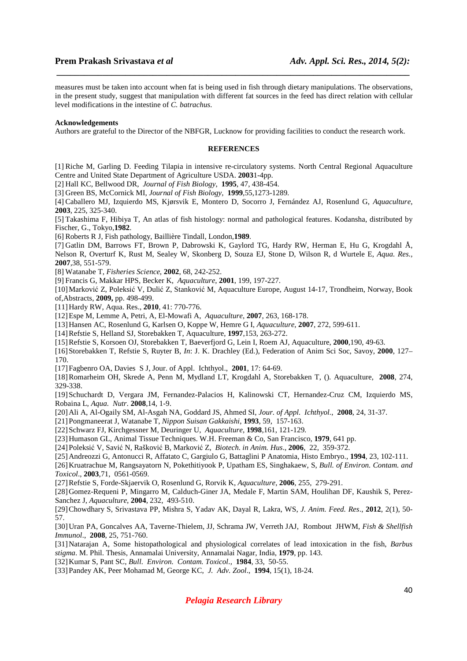measures must be taken into account when fat is being used in fish through dietary manipulations. The observations, in the present study, suggest that manipulation with different fat sources in the feed has direct relation with cellular level modifications in the intestine of *C. batrachus.* 

 *\_\_\_\_\_\_\_\_\_\_\_\_\_\_\_\_\_\_\_\_\_\_\_\_\_\_\_\_\_\_\_\_\_\_\_\_\_\_\_\_\_\_\_\_\_\_\_\_\_\_\_\_\_\_\_\_\_\_\_\_\_\_\_\_\_\_\_\_\_\_\_\_\_\_\_\_\_*

#### **Acknowledgements**

Authors are grateful to the Director of the NBFGR, Lucknow for providing facilities to conduct the research work.

#### **REFERENCES**

[1] Riche M, Garling D. Feeding Tilapia in intensive re-circulatory systems. North Central Regional Aquaculture Centre and United State Department of Agriculture USDA. **2003**1-4pp.

[2] Hall KC, Bellwood DR, *Journal of Fish Biology*, **1995**, 47, 438-454.

[3] Green BS, McCornick MI, *Journal of Fish Biology*, **1999**,55,1273-1289.

[4] Caballero MJ, Izquierdo MS, Kjørsvik E, Montero D, Socorro J, Fernández AJ, Rosenlund G, *Aquaculture*, **2003**, 225, 325-340.

[5] Takashima F, Hibiya T, An atlas of fish histology: normal and pathological features. Kodansha, distributed by Fischer, G., Tokyo,**1982**.

[6] Roberts R J, Fish pathology, Baillière Tindall, London,**1989**.

[7] Gatlin DM, Barrows FT, Brown P, Dabrowski K, Gaylord TG, Hardy RW, Herman E, Hu G, Krogdahl Å, Nelson R, Overturf K, Rust M, Sealey W, Skonberg D, Souza EJ, Stone D, Wilson R, d Wurtele E, *Aqua. Res.,* **2007**,38, 551-579.

[8] Watanabe T, *Fisheries Science*, **2002**, 68, 242-252.

[9] Francis G, Makkar HPS, Becker K, *Aquaculture*, **2001**, 199, 197-227.

[10]Marković Z, Poleksić V, Dulić Z, Stanković M, Aquaculture Europe, August 14-17, Trondheim, Norway, Book of,Abstracts, **2009,** pp. 498-499.

[11]Hardy RW, Aqua. Res., **2010**, 41: 770-776.

[12]Espe M, Lemme A, Petri, A, El-Mowafi A, *Aquaculture*, **2007**, 263, 168-178.

[13]Hansen AC, Rosenlund G, Karlsen O, Koppe W, Hemre G I, *Aquaculture*, **2007**, 272, 599-611.

[14]Refstie S, Helland SJ, Storebakken T, Aquaculture, **1997**,153, 263-272.

[15]Refstie S, Korsoen OJ, Storebakken T, Baeverfjord G, Lein I, Roem AJ, Aquaculture, **2000**,190, 49-63.

[16]Storebakken T, Refstie S, Ruyter B, *In*: J. K. Drachley (Ed.), Federation of Anim Sci Soc, Savoy, **2000**, 127– 170.

[17]Fagbenro OA, Davies S J, Jour. of Appl. Ichthyol., **2001**, 17: 64-69.

[18]Romarheim OH, Skrede A, Penn M, Mydland LT, Krogdahl A, Storebakken T, (). Aquaculture, **2008**, 274, 329-338.

[19]Schuchardt D, Vergara JM, Fernandez-Palacios H, Kalinowski CT, Hernandez-Cruz CM, Izquierdo MS, Robaina L, *Aqua. Nutr*. **2008**,14, 1-9.

- [20]Ali A, Al-Ogaily SM, Al-Asgah NA, Goddard JS, Ahmed SI, *Jour. of Appl. Ichthyol.*, **2008**, 24, 31-37.
- [21]Pongmaneerat J, Watanabe T, *Nippon Suisan Gakkaishi*, **1993**, 59, 157-163.
- [22]Schwarz FJ, Kirchgessner M, Deuringer U, *Aquaculture*, **1998**,161, 121-129.
- [23]Humason GL, Animal Tissue Techniques. W.H. Freeman & Co, San Francisco, **1979**, 641 pp.
- [24]Poleksić V, Savić N, Rašković B, Marković Z, *Biotech. in Anim. Hus*., **2006**, 22, 359-372.
- [25]Andreozzi G, Antonucci R, Affatato C, Gargiulo G, Battaglini P Anatomia, Histo Embryo., **1994**, 23, 102-111.

[26]Kruatrachue M, Rangsayatorn N, Pokethitiyook P, Upatham ES, Singhakaew, S, *Bull. of Environ. Contam. and* 

*Toxicol*., **2003**,71, 0561-0569.

[27]Refstie S, Forde-Skjaervik O, Rosenlund G, Rorvik K, *Aquaculture*, **2006**, 255, 279-291.

[28]Gomez-Requeni P, Mingarro M, Calduch-Giner JA, Medale F, Martin SAM, Houlihan DF, Kaushik S, Perez-Sanchez J, *Aquaculture*, **2004**, 232, 493-510.

[29]Chowdhary S, Srivastava PP, Mishra S, Yadav AK, Dayal R, Lakra, WS, *J. Anim. Feed. Res*., **2012**, 2(1), 50- 57.

[30]Uran PA, Goncalves AA, Taverne-Thielem, JJ, Schrama JW, Verreth JAJ, Rombout JHWM, *Fish & Shellfish Immunol*., **2008**, 25, 751-760.

[31]Natarajan A, Some histopathological and physiological correlates of lead intoxication in the fish, *Barbus stigma*. M. Phil. Thesis, Annamalai University, Annamalai Nagar, India, **1979**, pp. 143.

[32]Kumar S, Pant SC, *Bull. Environ. Contam. Toxicol.,* **1984**, 33, 50-55.

[33]Pandey AK, Peer Mohamad M, George KC, *J. Adv. Zool*., **1994**, 15(1), 18-24.